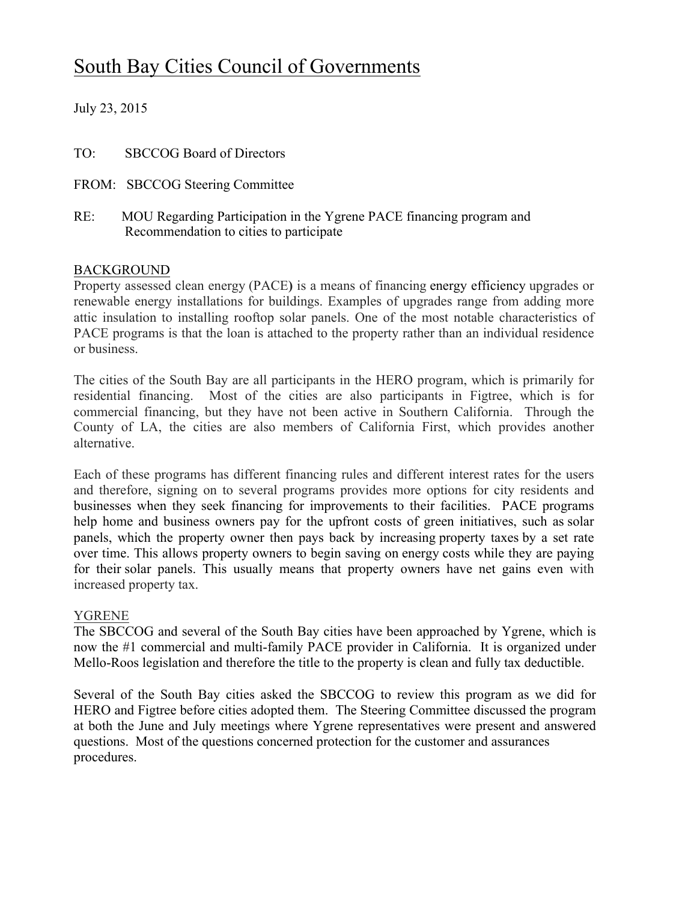# South Bay Cities Council of Governments

July 23, 2015

| TO: | <b>SBCCOG Board of Directors</b> |
|-----|----------------------------------|
|     | FROM: SBCCOG Steering Committee  |

RE: MOU Regarding Participation in the Ygrene PACE financing program and Recommendation to cities to participate

### **BACKGROUND**

Property assessed clean energy (PACE**)** is a means of financing energy efficiency upgrades or renewable energy installations for buildings. Examples of upgrades range from adding more attic insulation to installing rooftop solar panels. One of the most notable characteristics of PACE programs is that the loan is attached to the property rather than an individual residence or business.

The cities of the South Bay are all participants in the HERO program, which is primarily for residential financing. Most of the cities are also participants in Figtree, which is for commercial financing, but they have not been active in Southern California. Through the County of LA, the cities are also members of California First, which provides another alternative.

Each of these programs has different financing rules and different interest rates for the users and therefore, signing on to several programs provides more options for city residents and businesses when they seek financing for improvements to their facilities. PACE programs help home and business owners pay for the upfront costs of green initiatives, such as solar panels, which the property owner then pays back by increasing property taxes by a set rate over time. This allows property owners to begin saving on energy costs while they are paying for their solar panels. This usually means that property owners have net gains even with increased property tax.

#### YGRENE

The SBCCOG and several of the South Bay cities have been approached by Ygrene, which is now the #1 commercial and multi-family PACE provider in California. It is organized under Mello-Roos legislation and therefore the title to the property is clean and fully tax deductible.

Several of the South Bay cities asked the SBCCOG to review this program as we did for HERO and Figtree before cities adopted them. The Steering Committee discussed the program at both the June and July meetings where Ygrene representatives were present and answered questions. Most of the questions concerned protection for the customer and assurances procedures.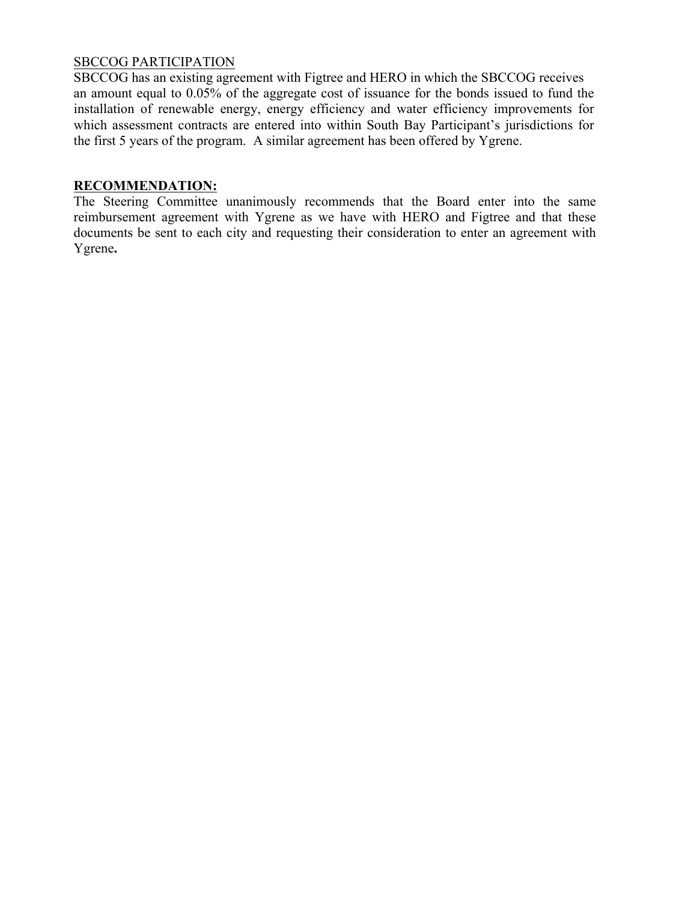#### SBCCOG PARTICIPATION

SBCCOG has an existing agreement with Figtree and HERO in which the SBCCOG receives an amount equal to 0.05% of the aggregate cost of issuance for the bonds issued to fund the installation of renewable energy, energy efficiency and water efficiency improvements for which assessment contracts are entered into within South Bay Participant's jurisdictions for the first 5 years of the program. A similar agreement has been offered by Ygrene.

#### **RECOMMENDATION:**

The Steering Committee unanimously recommends that the Board enter into the same reimbursement agreement with Ygrene as we have with HERO and Figtree and that these documents be sent to each city and requesting their consideration to enter an agreement with Ygrene**.**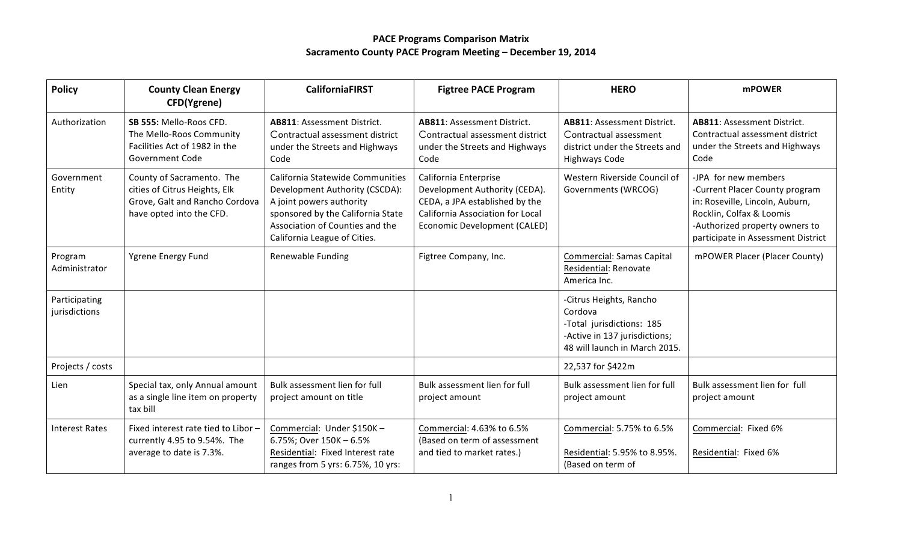| <b>Policy</b>                  | <b>County Clean Energy</b><br>CFD(Ygrene)                                                                                | <b>CaliforniaFIRST</b>                                                                                                                                                                                 | <b>Figtree PACE Program</b>                                                                                                                                  | <b>HERO</b>                                                                                                                       | <b>mPOWER</b>                                                                                                                                                                                 |
|--------------------------------|--------------------------------------------------------------------------------------------------------------------------|--------------------------------------------------------------------------------------------------------------------------------------------------------------------------------------------------------|--------------------------------------------------------------------------------------------------------------------------------------------------------------|-----------------------------------------------------------------------------------------------------------------------------------|-----------------------------------------------------------------------------------------------------------------------------------------------------------------------------------------------|
| Authorization                  | SB 555: Mello-Roos CFD.<br>The Mello-Roos Community<br>Facilities Act of 1982 in the<br><b>Government Code</b>           | AB811: Assessment District.<br>Contractual assessment district<br>under the Streets and Highways<br>Code                                                                                               | <b>AB811: Assessment District.</b><br>Contractual assessment district<br>under the Streets and Highways<br>Code                                              | <b>AB811: Assessment District.</b><br>Contractual assessment<br>district under the Streets and<br><b>Highways Code</b>            | <b>AB811: Assessment District.</b><br>Contractual assessment district<br>under the Streets and Highways<br>Code                                                                               |
| Government<br>Entity           | County of Sacramento. The<br>cities of Citrus Heights, Elk<br>Grove, Galt and Rancho Cordova<br>have opted into the CFD. | California Statewide Communities<br>Development Authority (CSCDA):<br>A joint powers authority<br>sponsored by the California State<br>Association of Counties and the<br>California League of Cities. | California Enterprise<br>Development Authority (CEDA).<br>CEDA, a JPA established by the<br>California Association for Local<br>Economic Development (CALED) | Western Riverside Council of<br>Governments (WRCOG)                                                                               | -JPA for new members<br>-Current Placer County program<br>in: Roseville, Lincoln, Auburn,<br>Rocklin, Colfax & Loomis<br>-Authorized property owners to<br>participate in Assessment District |
| Program<br>Administrator       | Ygrene Energy Fund                                                                                                       | Renewable Funding                                                                                                                                                                                      | Figtree Company, Inc.                                                                                                                                        | <b>Commercial: Samas Capital</b><br>Residential: Renovate<br>America Inc.                                                         | mPOWER Placer (Placer County)                                                                                                                                                                 |
| Participating<br>jurisdictions |                                                                                                                          |                                                                                                                                                                                                        |                                                                                                                                                              | -Citrus Heights, Rancho<br>Cordova<br>-Total jurisdictions: 185<br>-Active in 137 jurisdictions;<br>48 will launch in March 2015. |                                                                                                                                                                                               |
| Projects / costs               |                                                                                                                          |                                                                                                                                                                                                        |                                                                                                                                                              | 22,537 for \$422m                                                                                                                 |                                                                                                                                                                                               |
| Lien                           | Special tax, only Annual amount<br>as a single line item on property<br>tax bill                                         | Bulk assessment lien for full<br>project amount on title                                                                                                                                               | Bulk assessment lien for full<br>project amount                                                                                                              | Bulk assessment lien for full<br>project amount                                                                                   | Bulk assessment lien for full<br>project amount                                                                                                                                               |
| <b>Interest Rates</b>          | Fixed interest rate tied to Libor -<br>currently 4.95 to 9.54%. The<br>average to date is 7.3%.                          | Commercial: Under \$150K-<br>6.75%; Over 150K - 6.5%<br>Residential: Fixed Interest rate<br>ranges from 5 yrs: 6.75%, 10 yrs:                                                                          | Commercial: 4.63% to 6.5%<br>(Based on term of assessment<br>and tied to market rates.)                                                                      | Commercial: 5.75% to 6.5%<br>Residential: 5.95% to 8.95%.<br>(Based on term of                                                    | Commercial: Fixed 6%<br>Residential: Fixed 6%                                                                                                                                                 |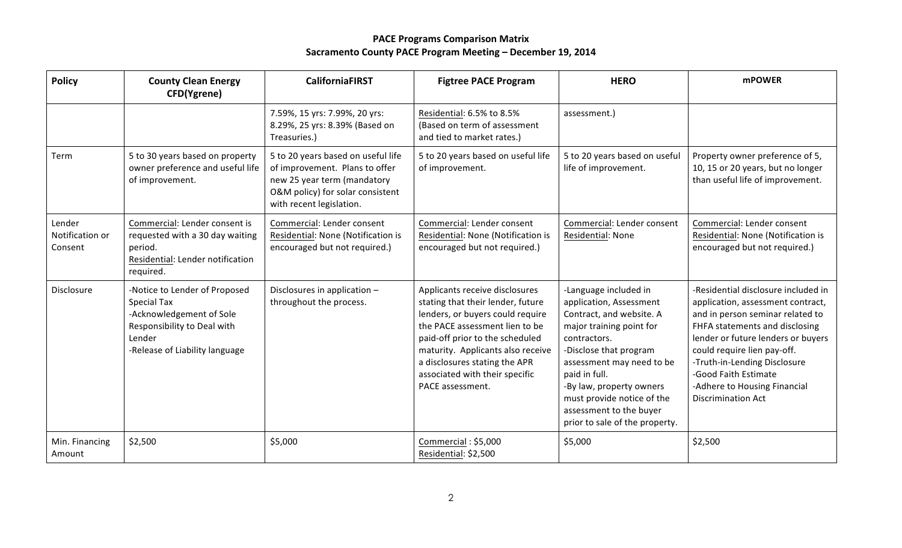| <b>Policy</b>                        | <b>County Clean Energy</b><br>CFD(Ygrene)                                                                                                                  | <b>CaliforniaFIRST</b>                                                                                                                                              | <b>Figtree PACE Program</b>                                                                                                                                                                                                                                                                              | <b>HERO</b>                                                                                                                                                                                                                                                                                                             | <b>mPOWER</b>                                                                                                                                                                                                                                                                                                                            |
|--------------------------------------|------------------------------------------------------------------------------------------------------------------------------------------------------------|---------------------------------------------------------------------------------------------------------------------------------------------------------------------|----------------------------------------------------------------------------------------------------------------------------------------------------------------------------------------------------------------------------------------------------------------------------------------------------------|-------------------------------------------------------------------------------------------------------------------------------------------------------------------------------------------------------------------------------------------------------------------------------------------------------------------------|------------------------------------------------------------------------------------------------------------------------------------------------------------------------------------------------------------------------------------------------------------------------------------------------------------------------------------------|
|                                      |                                                                                                                                                            | 7.59%, 15 yrs: 7.99%, 20 yrs:<br>8.29%, 25 yrs: 8.39% (Based on<br>Treasuries.)                                                                                     | Residential: 6.5% to 8.5%<br>(Based on term of assessment<br>and tied to market rates.)                                                                                                                                                                                                                  | assessment.)                                                                                                                                                                                                                                                                                                            |                                                                                                                                                                                                                                                                                                                                          |
| Term                                 | 5 to 30 years based on property<br>owner preference and useful life<br>of improvement.                                                                     | 5 to 20 years based on useful life<br>of improvement. Plans to offer<br>new 25 year term (mandatory<br>O&M policy) for solar consistent<br>with recent legislation. | 5 to 20 years based on useful life<br>of improvement.                                                                                                                                                                                                                                                    | 5 to 20 years based on useful<br>life of improvement.                                                                                                                                                                                                                                                                   | Property owner preference of 5,<br>10, 15 or 20 years, but no longer<br>than useful life of improvement.                                                                                                                                                                                                                                 |
| Lender<br>Notification or<br>Consent | Commercial: Lender consent is<br>requested with a 30 day waiting<br>period.<br>Residential: Lender notification<br>required.                               | Commercial: Lender consent<br>Residential: None (Notification is<br>encouraged but not required.)                                                                   | Commercial: Lender consent<br>Residential: None (Notification is<br>encouraged but not required.)                                                                                                                                                                                                        | Commercial: Lender consent<br>Residential: None                                                                                                                                                                                                                                                                         | Commercial: Lender consent<br>Residential: None (Notification is<br>encouraged but not required.)                                                                                                                                                                                                                                        |
| Disclosure                           | -Notice to Lender of Proposed<br><b>Special Tax</b><br>-Acknowledgement of Sole<br>Responsibility to Deal with<br>Lender<br>-Release of Liability language | Disclosures in application -<br>throughout the process.                                                                                                             | Applicants receive disclosures<br>stating that their lender, future<br>lenders, or buyers could require<br>the PACE assessment lien to be<br>paid-off prior to the scheduled<br>maturity. Applicants also receive<br>a disclosures stating the APR<br>associated with their specific<br>PACE assessment. | -Language included in<br>application, Assessment<br>Contract, and website. A<br>major training point for<br>contractors.<br>-Disclose that program<br>assessment may need to be<br>paid in full.<br>-By law, property owners<br>must provide notice of the<br>assessment to the buyer<br>prior to sale of the property. | -Residential disclosure included in<br>application, assessment contract,<br>and in person seminar related to<br>FHFA statements and disclosing<br>lender or future lenders or buyers<br>could require lien pay-off.<br>-Truth-in-Lending Disclosure<br>-Good Faith Estimate<br>-Adhere to Housing Financial<br><b>Discrimination Act</b> |
| Min. Financing<br>Amount             | \$2,500                                                                                                                                                    | \$5,000                                                                                                                                                             | Commercial: \$5,000<br>Residential: \$2,500                                                                                                                                                                                                                                                              | \$5,000                                                                                                                                                                                                                                                                                                                 | \$2,500                                                                                                                                                                                                                                                                                                                                  |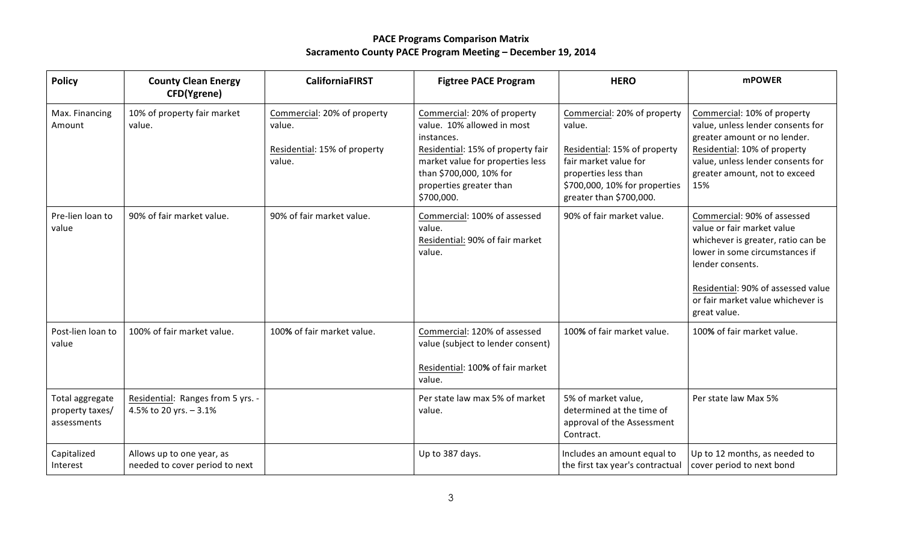| <b>Policy</b>                                     | <b>County Clean Energy</b><br>CFD(Ygrene)                   | <b>CaliforniaFIRST</b>                                                          | <b>Figtree PACE Program</b>                                                                                                                                                                                          | <b>HERO</b>                                                                                                                                                                        | <b>mPOWER</b>                                                                                                                                                                                                                                    |
|---------------------------------------------------|-------------------------------------------------------------|---------------------------------------------------------------------------------|----------------------------------------------------------------------------------------------------------------------------------------------------------------------------------------------------------------------|------------------------------------------------------------------------------------------------------------------------------------------------------------------------------------|--------------------------------------------------------------------------------------------------------------------------------------------------------------------------------------------------------------------------------------------------|
| Max. Financing<br>Amount                          | 10% of property fair market<br>value.                       | Commercial: 20% of property<br>value.<br>Residential: 15% of property<br>value. | Commercial: 20% of property<br>value. 10% allowed in most<br>instances.<br>Residential: 15% of property fair<br>market value for properties less<br>than \$700,000, 10% for<br>properties greater than<br>\$700,000. | Commercial: 20% of property<br>value.<br>Residential: 15% of property<br>fair market value for<br>properties less than<br>\$700,000, 10% for properties<br>greater than \$700,000. | Commercial: 10% of property<br>value, unless lender consents for<br>greater amount or no lender.<br>Residential: 10% of property<br>value, unless lender consents for<br>greater amount, not to exceed<br>15%                                    |
| Pre-lien loan to<br>value                         | 90% of fair market value.                                   | 90% of fair market value.                                                       | Commercial: 100% of assessed<br>value.<br>Residential: 90% of fair market<br>value.                                                                                                                                  | 90% of fair market value.                                                                                                                                                          | Commercial: 90% of assessed<br>value or fair market value<br>whichever is greater, ratio can be<br>lower in some circumstances if<br>lender consents.<br>Residential: 90% of assessed value<br>or fair market value whichever is<br>great value. |
| Post-lien loan to<br>value                        | 100% of fair market value.                                  | 100% of fair market value.                                                      | Commercial: 120% of assessed<br>value (subject to lender consent)<br>Residential: 100% of fair market<br>value.                                                                                                      | 100% of fair market value.                                                                                                                                                         | 100% of fair market value.                                                                                                                                                                                                                       |
| Total aggregate<br>property taxes/<br>assessments | Residential: Ranges from 5 yrs. -<br>4.5% to 20 yrs. - 3.1% |                                                                                 | Per state law max 5% of market<br>value.                                                                                                                                                                             | 5% of market value,<br>determined at the time of<br>approval of the Assessment<br>Contract.                                                                                        | Per state law Max 5%                                                                                                                                                                                                                             |
| Capitalized<br>Interest                           | Allows up to one year, as<br>needed to cover period to next |                                                                                 | Up to 387 days.                                                                                                                                                                                                      | Includes an amount equal to<br>the first tax year's contractual                                                                                                                    | Up to 12 months, as needed to<br>cover period to next bond                                                                                                                                                                                       |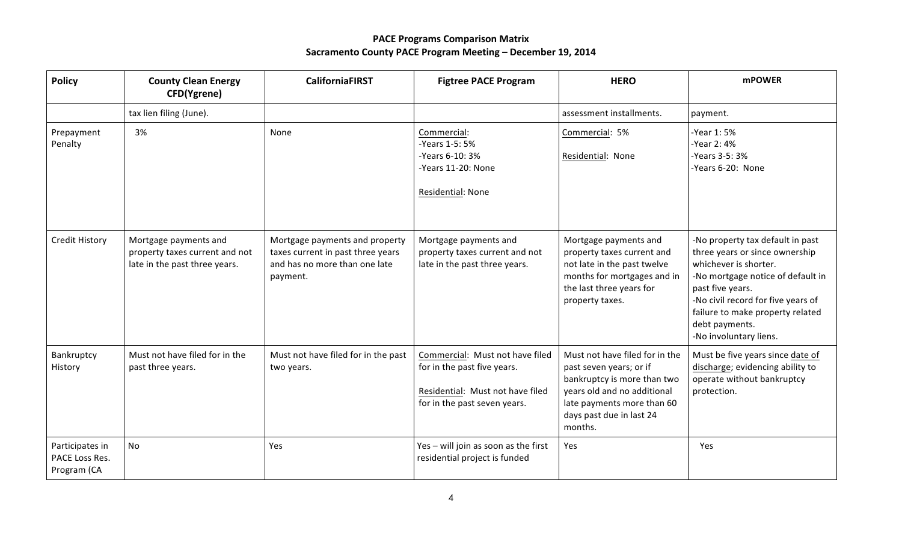| <b>Policy</b>                                    | <b>County Clean Energy</b><br>CFD(Ygrene)                                                | <b>CaliforniaFIRST</b>                                                                                           | <b>Figtree PACE Program</b>                                                                                                        | <b>HERO</b>                                                                                                                                                                                  | <b>mPOWER</b>                                                                                                                                                                                                                                                              |
|--------------------------------------------------|------------------------------------------------------------------------------------------|------------------------------------------------------------------------------------------------------------------|------------------------------------------------------------------------------------------------------------------------------------|----------------------------------------------------------------------------------------------------------------------------------------------------------------------------------------------|----------------------------------------------------------------------------------------------------------------------------------------------------------------------------------------------------------------------------------------------------------------------------|
|                                                  | tax lien filing (June).                                                                  |                                                                                                                  |                                                                                                                                    | assessment installments.                                                                                                                                                                     | payment.                                                                                                                                                                                                                                                                   |
| Prepayment<br>Penalty                            | 3%                                                                                       | None                                                                                                             | Commercial:<br>-Years 1-5: 5%<br>-Years 6-10: 3%<br>-Years 11-20: None<br>Residential: None                                        | Commercial: 5%<br>Residential: None                                                                                                                                                          | -Year 1:5%<br>-Year 2:4%<br>-Years 3-5: 3%<br>-Years 6-20: None                                                                                                                                                                                                            |
| <b>Credit History</b>                            | Mortgage payments and<br>property taxes current and not<br>late in the past three years. | Mortgage payments and property<br>taxes current in past three years<br>and has no more than one late<br>payment. | Mortgage payments and<br>property taxes current and not<br>late in the past three years.                                           | Mortgage payments and<br>property taxes current and<br>not late in the past twelve<br>months for mortgages and in<br>the last three years for<br>property taxes.                             | -No property tax default in past<br>three years or since ownership<br>whichever is shorter.<br>-No mortgage notice of default in<br>past five years.<br>-No civil record for five years of<br>failure to make property related<br>debt payments.<br>-No involuntary liens. |
| Bankruptcy<br>History                            | Must not have filed for in the<br>past three years.                                      | Must not have filed for in the past<br>two years.                                                                | Commercial: Must not have filed<br>for in the past five years.<br>Residential: Must not have filed<br>for in the past seven years. | Must not have filed for in the<br>past seven years; or if<br>bankruptcy is more than two<br>years old and no additional<br>late payments more than 60<br>days past due in last 24<br>months. | Must be five years since date of<br>discharge; evidencing ability to<br>operate without bankruptcy<br>protection.                                                                                                                                                          |
| Participates in<br>PACE Loss Res.<br>Program (CA | <b>No</b>                                                                                | Yes                                                                                                              | Yes - will join as soon as the first<br>residential project is funded                                                              | Yes                                                                                                                                                                                          | Yes                                                                                                                                                                                                                                                                        |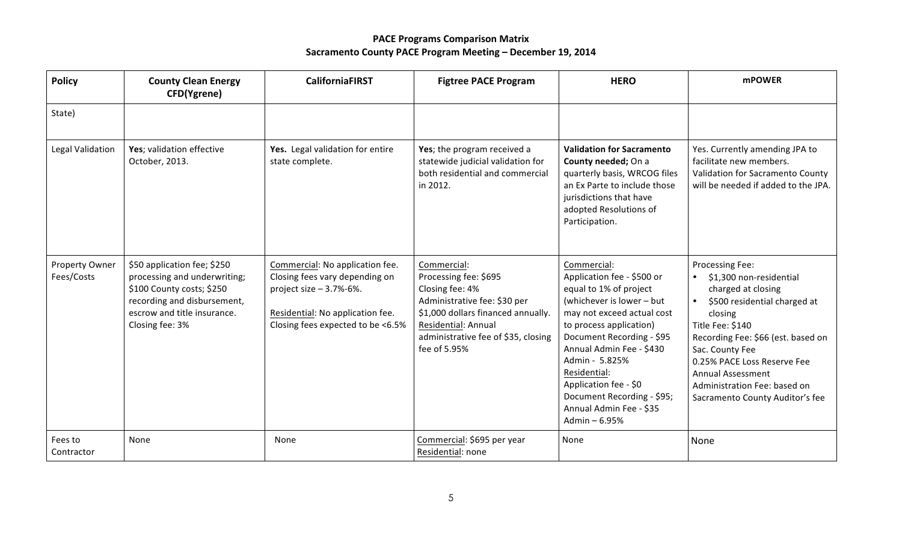| <b>Policy</b>                | <b>County Clean Energy</b><br>CFD(Ygrene)                                                                                                                                 | <b>CaliforniaFIRST</b>                                                                                                                                                   | <b>Figtree PACE Program</b>                                                                                                                                                                                 | <b>HERO</b>                                                                                                                                                                                                                                                                                                                                              | <b>mPOWER</b>                                                                                                                                                                                                                                                                                                   |
|------------------------------|---------------------------------------------------------------------------------------------------------------------------------------------------------------------------|--------------------------------------------------------------------------------------------------------------------------------------------------------------------------|-------------------------------------------------------------------------------------------------------------------------------------------------------------------------------------------------------------|----------------------------------------------------------------------------------------------------------------------------------------------------------------------------------------------------------------------------------------------------------------------------------------------------------------------------------------------------------|-----------------------------------------------------------------------------------------------------------------------------------------------------------------------------------------------------------------------------------------------------------------------------------------------------------------|
| State)                       |                                                                                                                                                                           |                                                                                                                                                                          |                                                                                                                                                                                                             |                                                                                                                                                                                                                                                                                                                                                          |                                                                                                                                                                                                                                                                                                                 |
| Legal Validation             | Yes; validation effective<br>October, 2013.                                                                                                                               | Yes. Legal validation for entire<br>state complete.                                                                                                                      | Yes; the program received a<br>statewide judicial validation for<br>both residential and commercial<br>in 2012.                                                                                             | <b>Validation for Sacramento</b><br>County needed; On a<br>quarterly basis, WRCOG files<br>an Ex Parte to include those<br>jurisdictions that have<br>adopted Resolutions of<br>Participation.                                                                                                                                                           | Yes. Currently amending JPA to<br>facilitate new members.<br>Validation for Sacramento County<br>will be needed if added to the JPA.                                                                                                                                                                            |
| Property Owner<br>Fees/Costs | \$50 application fee; \$250<br>processing and underwriting;<br>\$100 County costs; \$250<br>recording and disbursement,<br>escrow and title insurance.<br>Closing fee: 3% | Commercial: No application fee.<br>Closing fees vary depending on<br>project size $-3.7% -6%$ .<br>Residential: No application fee.<br>Closing fees expected to be <6.5% | Commercial:<br>Processing fee: \$695<br>Closing fee: 4%<br>Administrative fee: \$30 per<br>\$1,000 dollars financed annually.<br>Residential: Annual<br>administrative fee of \$35, closing<br>fee of 5.95% | Commercial:<br>Application fee - \$500 or<br>equal to 1% of project<br>(whichever is lower - but<br>may not exceed actual cost<br>to process application)<br>Document Recording - \$95<br>Annual Admin Fee - \$430<br>Admin - 5.825%<br>Residential:<br>Application fee - \$0<br>Document Recording - \$95;<br>Annual Admin Fee - \$35<br>Admin $-6.95%$ | Processing Fee:<br>\$1,300 non-residential<br>charged at closing<br>\$500 residential charged at<br>closing<br>Title Fee: \$140<br>Recording Fee: \$66 (est. based on<br>Sac. County Fee<br>0.25% PACE Loss Reserve Fee<br>Annual Assessment<br>Administration Fee: based on<br>Sacramento County Auditor's fee |
| Fees to<br>Contractor        | None                                                                                                                                                                      | None                                                                                                                                                                     | Commercial: \$695 per year<br>Residential: none                                                                                                                                                             | None                                                                                                                                                                                                                                                                                                                                                     | None                                                                                                                                                                                                                                                                                                            |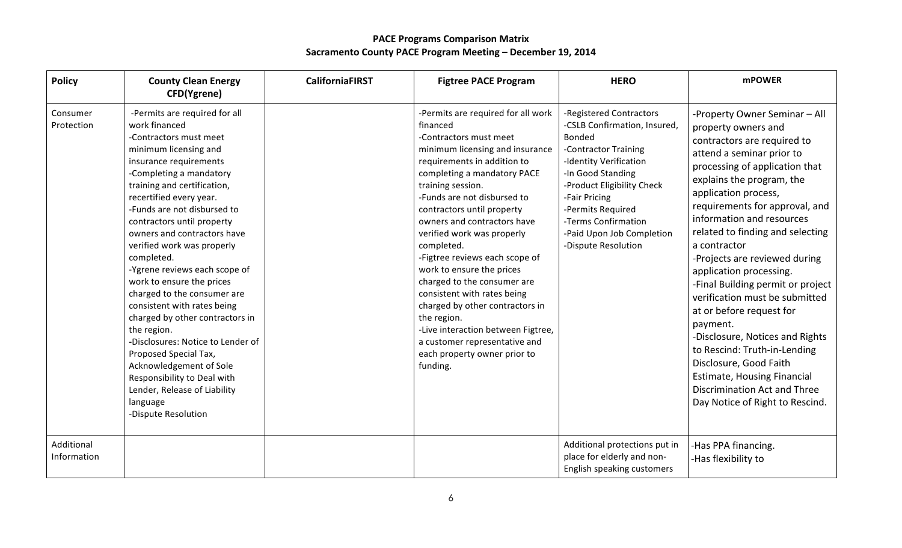| <b>Policy</b>             | <b>County Clean Energy</b><br>CFD(Ygrene)                                                                                                                                                                                                                                                                                                                                                                                                                                                                                                                                                                                                                                                                                         | <b>CaliforniaFIRST</b> | <b>Figtree PACE Program</b>                                                                                                                                                                                                                                                                                                                                                                                                                                                                                                                                                                                                              | <b>HERO</b>                                                                                                                                                                                                                                                                                    | <b>mPOWER</b>                                                                                                                                                                                                                                                                                                                                                                                                                                                                                                                                                                                                                                                                                               |
|---------------------------|-----------------------------------------------------------------------------------------------------------------------------------------------------------------------------------------------------------------------------------------------------------------------------------------------------------------------------------------------------------------------------------------------------------------------------------------------------------------------------------------------------------------------------------------------------------------------------------------------------------------------------------------------------------------------------------------------------------------------------------|------------------------|------------------------------------------------------------------------------------------------------------------------------------------------------------------------------------------------------------------------------------------------------------------------------------------------------------------------------------------------------------------------------------------------------------------------------------------------------------------------------------------------------------------------------------------------------------------------------------------------------------------------------------------|------------------------------------------------------------------------------------------------------------------------------------------------------------------------------------------------------------------------------------------------------------------------------------------------|-------------------------------------------------------------------------------------------------------------------------------------------------------------------------------------------------------------------------------------------------------------------------------------------------------------------------------------------------------------------------------------------------------------------------------------------------------------------------------------------------------------------------------------------------------------------------------------------------------------------------------------------------------------------------------------------------------------|
| Consumer<br>Protection    | -Permits are required for all<br>work financed<br>-Contractors must meet<br>minimum licensing and<br>insurance requirements<br>-Completing a mandatory<br>training and certification,<br>recertified every year.<br>-Funds are not disbursed to<br>contractors until property<br>owners and contractors have<br>verified work was properly<br>completed.<br>-Ygrene reviews each scope of<br>work to ensure the prices<br>charged to the consumer are<br>consistent with rates being<br>charged by other contractors in<br>the region.<br>-Disclosures: Notice to Lender of<br>Proposed Special Tax,<br>Acknowledgement of Sole<br>Responsibility to Deal with<br>Lender, Release of Liability<br>language<br>-Dispute Resolution |                        | -Permits are required for all work<br>financed<br>-Contractors must meet<br>minimum licensing and insurance<br>requirements in addition to<br>completing a mandatory PACE<br>training session.<br>-Funds are not disbursed to<br>contractors until property<br>owners and contractors have<br>verified work was properly<br>completed.<br>-Figtree reviews each scope of<br>work to ensure the prices<br>charged to the consumer are<br>consistent with rates being<br>charged by other contractors in<br>the region.<br>-Live interaction between Figtree,<br>a customer representative and<br>each property owner prior to<br>funding. | -Registered Contractors<br>-CSLB Confirmation, Insured,<br><b>Bonded</b><br>-Contractor Training<br>-Identity Verification<br>-In Good Standing<br>-Product Eligibility Check<br>-Fair Pricing<br>-Permits Required<br>-Terms Confirmation<br>-Paid Upon Job Completion<br>-Dispute Resolution | -Property Owner Seminar - All<br>property owners and<br>contractors are required to<br>attend a seminar prior to<br>processing of application that<br>explains the program, the<br>application process,<br>requirements for approval, and<br>information and resources<br>related to finding and selecting<br>a contractor<br>-Projects are reviewed during<br>application processing.<br>-Final Building permit or project<br>verification must be submitted<br>at or before request for<br>payment.<br>-Disclosure, Notices and Rights<br>to Rescind: Truth-in-Lending<br>Disclosure, Good Faith<br><b>Estimate, Housing Financial</b><br>Discrimination Act and Three<br>Day Notice of Right to Rescind. |
| Additional<br>Information |                                                                                                                                                                                                                                                                                                                                                                                                                                                                                                                                                                                                                                                                                                                                   |                        |                                                                                                                                                                                                                                                                                                                                                                                                                                                                                                                                                                                                                                          | Additional protections put in<br>place for elderly and non-<br>English speaking customers                                                                                                                                                                                                      | -Has PPA financing.<br>-Has flexibility to                                                                                                                                                                                                                                                                                                                                                                                                                                                                                                                                                                                                                                                                  |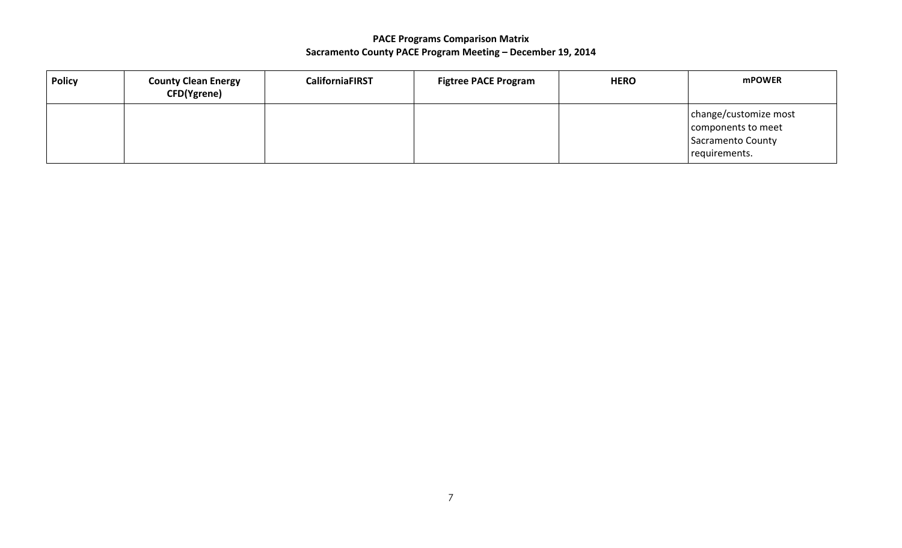| <b>Policy</b> | <b>County Clean Energy</b><br><b>CFD(Ygrene)</b> | <b>CaliforniaFIRST</b> | <b>Figtree PACE Program</b> | <b>HERO</b> | <b>mPOWER</b>                                                                            |
|---------------|--------------------------------------------------|------------------------|-----------------------------|-------------|------------------------------------------------------------------------------------------|
|               |                                                  |                        |                             |             | change/customize most<br>components to meet<br><b>Sacramento County</b><br>requirements. |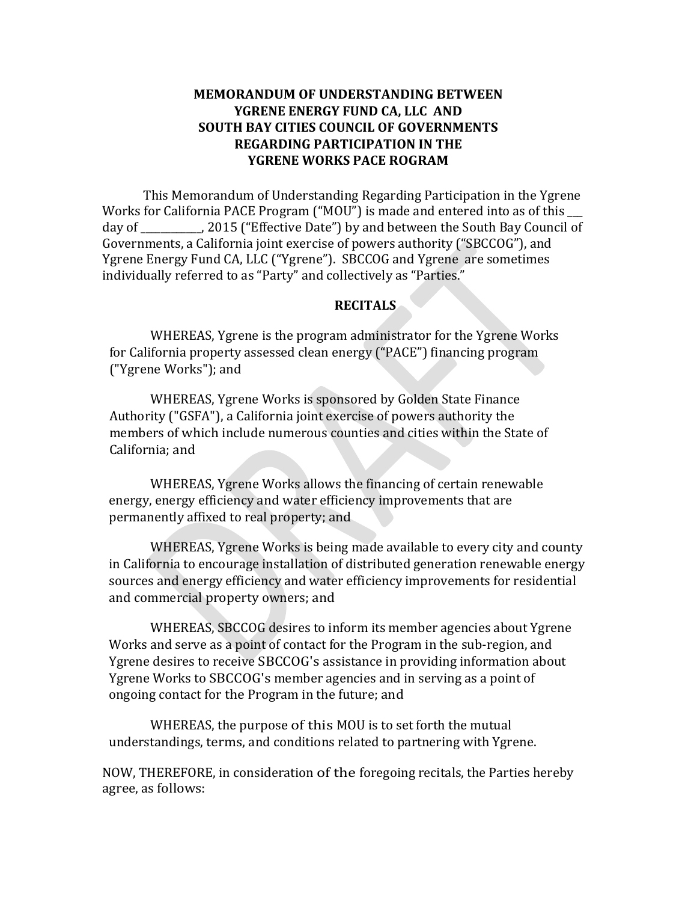## **MEMORANDUM OF UNDERSTANDING BETWEEN YGRENE ENERGY FUND CA, LLC AND SOUTH BAY CITIES COUNCIL OF GOVERNMENTS REGARDING PARTICIPATION IN THE YGRENE WORKS PACE ROGRAM**

This Memorandum of Understanding Regarding Participation in the Ygrene Works for California PACE Program ("MOU") is made and entered into as of this  $\Box$ day of all composits ("Effective Date") by and between the South Bay Council of Governments, a California joint exercise of powers authority ("SBCCOG"), and Ygrene Energy Fund CA, LLC ("Ygrene"). SBCCOG and Ygrene are sometimes individually referred to as "Party" and collectively as "Parties."

#### **RECITALS**

WHEREAS, Ygrene is the program administrator for the Ygrene Works for California property assessed clean energy ("PACE") financing program ("Ygrene Works"); and

WHEREAS, Ygrene Works is sponsored by Golden State Finance Authority ("GSFA"), a California joint exercise of powers authority the members of which include numerous counties and cities within the State of California; and

WHEREAS, Ygrene Works allows the financing of certain renewable energy, energy efficiency and water efficiency improvements that are permanently affixed to real property; and

WHEREAS, Ygrene Works is being made available to every city and county in California to encourage installation of distributed generation renewable energy sources and energy efficiency and water efficiency improvements for residential and commercial property owners; and

WHEREAS, SBCCOG desires to inform its member agencies about Ygrene Works and serve as a point of contact for the Program in the sub-region, and Ygrene desires to receive SBCCOG's assistance in providing information about Ygrene Works to SBCCOG's member agencies and in serving as a point of ongoing contact for the Program in the future; and

WHEREAS, the purpose of this MOU is to set forth the mutual understandings, terms, and conditions related to partnering with Ygrene.

NOW, THEREFORE, in consideration of the foregoing recitals, the Parties hereby agree, as follows: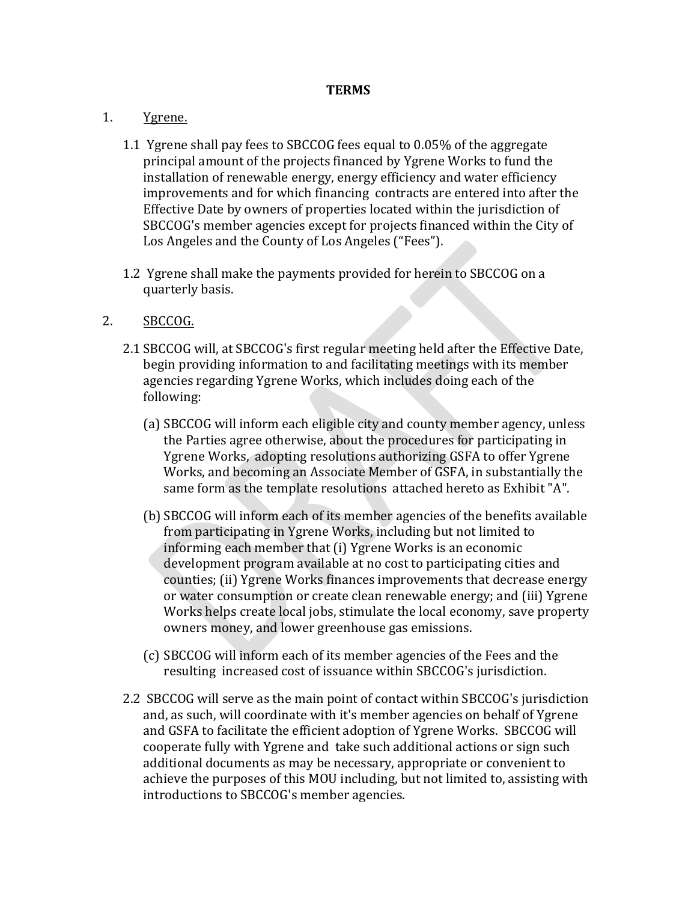#### **TERMS**

#### 1. Ygrene.

- 1.1 Ygrene shall pay fees to SBCCOG fees equal to 0.05% of the aggregate principal amount of the projects financed by Ygrene Works to fund the installation of renewable energy, energy efficiency and water efficiency improvements and for which financing contracts are entered into after the Effective Date by owners of properties located within the jurisdiction of SBCCOG's member agencies except for projects financed within the City of Los Angeles and the County of Los Angeles ("Fees").
- 1.2 Ygrene shall make the payments provided for herein to SBCCOG on a quarterly basis.

### 2. SBCCOG.

- 2.1 SBCCOG will, at SBCCOG's first regular meeting held after the Effective Date, begin providing information to and facilitating meetings with its member agencies regarding Ygrene Works, which includes doing each of the following:
	- (a) SBCCOG will inform each eligible city and county member agency, unless the Parties agree otherwise, about the procedures for participating in Ygrene Works, adopting resolutions authorizing GSFA to offer Ygrene Works, and becoming an Associate Member of GSFA, in substantially the same form as the template resolutions attached hereto as Exhibit "A".
	- (b) SBCCOG will inform each of its member agencies of the benefits available from participating in Ygrene Works, including but not limited to informing each member that (i) Ygrene Works is an economic development program available at no cost to participating cities and counties; (ii) Ygrene Works finances improvements that decrease energy or water consumption or create clean renewable energy; and (iii) Ygrene Works helps create local jobs, stimulate the local economy, save property owners money, and lower greenhouse gas emissions.
	- (c) SBCCOG will inform each of its member agencies of the Fees and the resulting increased cost of issuance within SBCCOG's jurisdiction.
- 2.2 SBCCOG will serve as the main point of contact within SBCCOG's jurisdiction and, as such, will coordinate with it's member agencies on behalf of Ygrene and GSFA to facilitate the efficient adoption of Ygrene Works. SBCCOG will cooperate fully with Ygrene and take such additional actions or sign such additional documents as may be necessary, appropriate or convenient to achieve the purposes of this MOU including, but not limited to, assisting with introductions to SBCCOG's member agencies.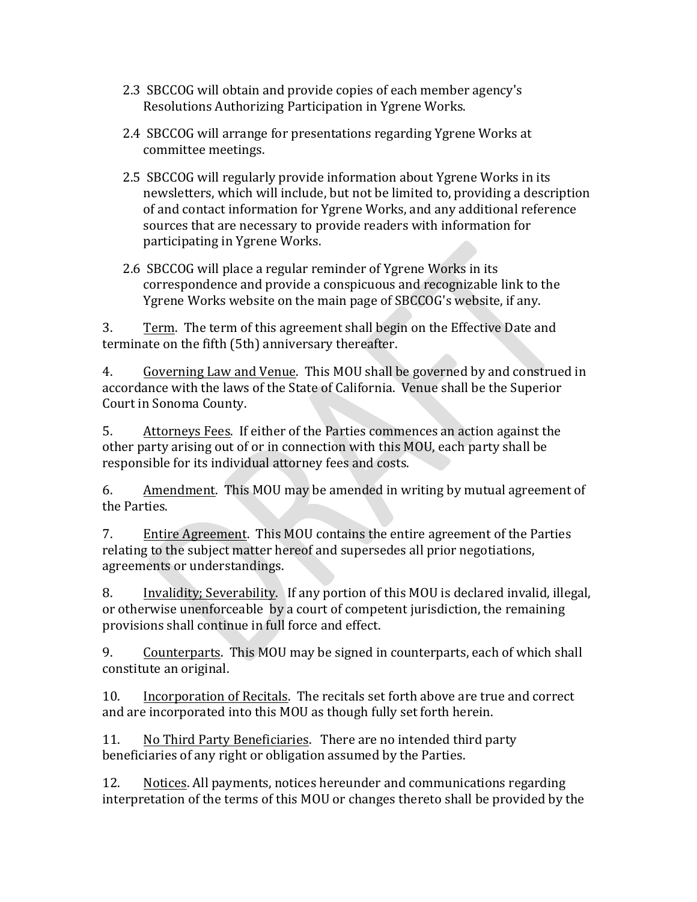- 2.3 SBCCOG will obtain and provide copies of each member agency's Resolutions Authorizing Participation in Ygrene Works.
- 2.4 SBCCOG will arrange for presentations regarding Ygrene Works at committee meetings.
- 2.5 SBCCOG will regularly provide information about Ygrene Works in its newsletters, which will include, but not be limited to, providing a description of and contact information for Ygrene Works, and any additional reference sources that are necessary to provide readers with information for participating in Ygrene Works.
- 2.6 SBCCOG will place a regular reminder of Ygrene Works in its correspondence and provide a conspicuous and recognizable link to the Ygrene Works website on the main page of SBCCOG's website, if any.

3. Term. The term of this agreement shall begin on the Effective Date and terminate on the fifth (5th) anniversary thereafter.

4. Governing Law and Venue. This MOU shall be governed by and construed in accordance with the laws of the State of California. Venue shall be the Superior Court in Sonoma County.

5. Attorneys Fees. If either of the Parties commences an action against the other party arising out of or in connection with this MOU, each party shall be responsible for its individual attorney fees and costs.

6. Amendment. This MOU may be amended in writing by mutual agreement of the Parties.

7. Entire Agreement. This MOU contains the entire agreement of the Parties relating to the subject matter hereof and supersedes all prior negotiations, agreements or understandings.

8. Invalidity; Severability. If any portion of this MOU is declared invalid, illegal, or otherwise unenforceable by a court of competent jurisdiction, the remaining provisions shall continue in full force and effect.

9. Counterparts. This MOU may be signed in counterparts, each of which shall constitute an original.

10. Incorporation of Recitals. The recitals set forth above are true and correct and are incorporated into this MOU as though fully set forth herein.

11. No Third Party Beneficiaries. There are no intended third party beneficiaries of any right or obligation assumed by the Parties.

12. Notices. All payments, notices hereunder and communications regarding interpretation of the terms of this MOU or changes thereto shall be provided by the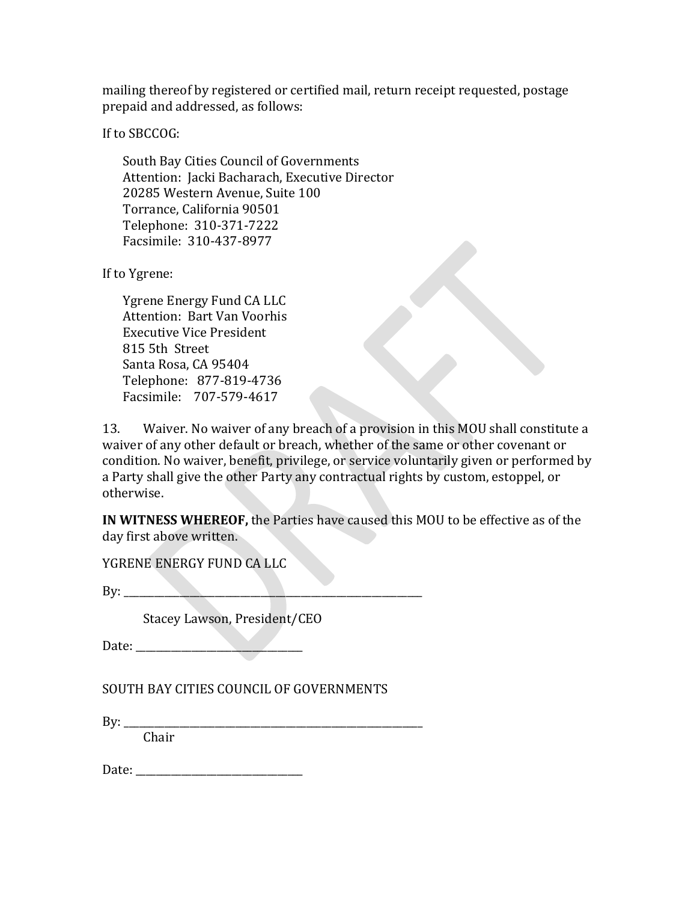mailing thereof by registered or certified mail, return receipt requested, postage prepaid and addressed, as follows:

If to SBCCOG:

South Bay Cities Council of Governments Attention: Jacki Bacharach, Executive Director 20285 Western Avenue, Suite 100 Torrance, California 90501 Telephone: 310-371-7222 Facsimile: 310-437-8977

If to Ygrene:

Ygrene Energy Fund CA LLC Attention: Bart Van Voorhis **Executive Vice President** 815 5th Street Santa Rosa, CA 95404 Telephone: 877-819-4736 Facsimile: 707-579-4617

13. Waiver. No waiver of any breach of a provision in this MOU shall constitute a waiver of any other default or breach, whether of the same or other covenant or condition. No waiver, benefit, privilege, or service voluntarily given or performed by a Party shall give the other Party any contractual rights by custom, estoppel, or otherwise.

**IN WITNESS WHEREOF,** the Parties have caused this MOU to be effective as of the day first above written.

YGRENE ENERGY FUND CA LLC

 $Bv:$ 

Stacey Lawson, President/CEO

Date:

SOUTH BAY CITIES COUNCIL OF GOVERNMENTS

By: \_\_\_\_\_\_\_\_\_\_\_\_\_\_\_\_\_\_\_\_\_\_\_\_\_\_\_\_\_\_\_\_\_\_\_\_\_\_\_\_\_\_\_\_\_\_\_\_\_\_\_\_\_\_\_\_\_\_\_

Chair

Date: \_\_\_\_\_\_\_\_\_\_\_\_\_\_\_\_\_\_\_\_\_\_\_\_\_\_\_\_\_\_\_\_\_